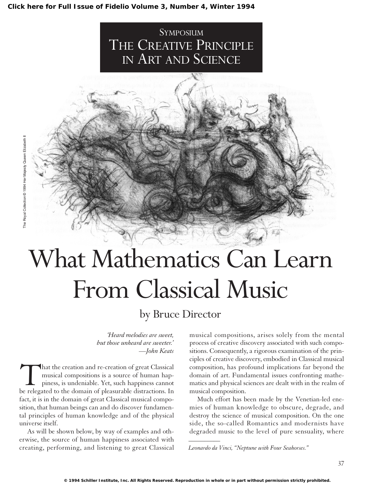#### **[Click here for Full Issue of Fidelio Volume 3, Number 4, Winter 1994](http://schillerinstitute.org/fidelio_archive/1994/fidv03n04-1994Wi/index.html)**





# What Mathematics Can Learn From Classical Music

## by Bruce Director

*'Heard melodies are sweet, but those unheard are sweeter.' —John Keats*

That the creation and re-creation of great Classical<br>musical compositions is a source of human hap-<br>piness, is undeniable. Yet, such happiness cannot<br>be relegated to the domain of pleasurable distractions. In musical compositions is a source of human happiness, is undeniable. Yet, such happiness cannot be relegated to the domain of pleasurable distractions. In fact, it is in the domain of great Classical musical composition, that human beings can and do discover fundamental principles of human knowledge and of the physical universe itself.

As will be shown below, by way of examples and otherwise, the source of human happiness associated with creating, performing, and listening to great Classical

musical compositions, arises solely from the mental process of creative discovery associated with such compositions. Consequently, a rigorous examination of the principles of creative discovery, embodied in Classical musical composition, has profound implications far beyond the domain of art. Fundamental issues confronting mathematics and physical sciences are dealt with in the realm of musical composition.

Much effort has been made by the Venetian-led enemies of human knowledge to obscure, degrade, and destroy the science of musical composition. On the one side, the so-called Romantics and modernists have degraded music to the level of pure sensuality, where *\_\_\_\_\_\_\_\_\_\_*

*Leonardo da Vinci, "Neptune with Four Seahorses."*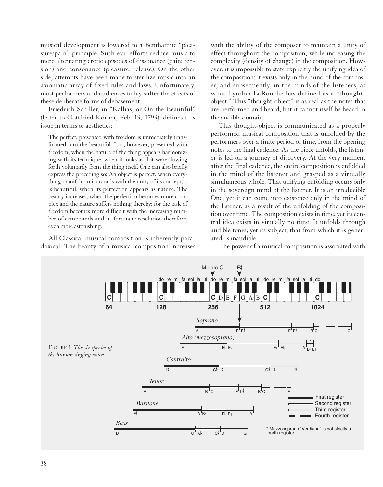musical development is lowered to a Benthamite "pleasure/pain" principle. Such evil efforts reduce music to mere alternating erotic episodes of dissonance (pain: tension) and consonance (pleasure: release). On the other side, attempts have been made to sterilize music into an axiomatic array of fixed rules and laws. Unfortunately, most performers and audiences today suffer the effects of these deliberate forms of debasement.

Friedrich Schiller, in "Kallias, or On the Beautiful" (letter to Gottfried Körner, Feb. 19, 1793), defines this issue in terms of aesthetics:

The perfect, presented with freedom is immediately transformed into the beautiful. It is, however, presented with freedom, when the nature of the thing appears harmonizing with its technique, when it looks as if it were flowing forth voluntarily from the thing itself. One can also briefly express the preceding so: An object is perfect, when everything manifold in it accords with the unity of its concept; it is beautiful, when its perfection appears as nature. The beauty increases, when the perfection becomes more complex and the nature suffers nothing thereby; for the task of freedom becomes more difficult with the increasing number of compounds and its fortunate resolution therefore, even more astonishing.

All Classical musical composition is inherently paradoxical. The beauty of a musical composition increases with the ability of the composer to maintain a unity of effect throughout the composition, while increasing the complexity (density of change) in the composition. However, it is impossible to state explicitly the unifying idea of the composition; it exists only in the mind of the composer, and subsequently, in the minds of the listeners, as what Lyndon LaRouche has defined as a "thoughtobject." This "thought-object" is as real as the notes that are performed and heard, but it cannot itself be heard in the audible domain.

This thought-object is communicated as a properly performed musical composition that is unfolded by the performers over a finite period of time, from the opening notes to the final cadence. As the piece unfolds, the listener is led on a journey of discovery. At the very moment after the final cadence, the entire composition is enfolded in the mind of the listener and grasped as a virtually simultaneous whole. That unifying enfolding occurs only in the sovereign mind of the listener. It is an irreducible One, yet it can come into existence only in the mind of the listener, as a result of the unfolding of the composition over time. The composition exists in time, yet its central idea exists in virtually no time. It unfolds through audible tones, yet its subject, that from which it is generated, is inaudible.

The power of a musical composition is associated with

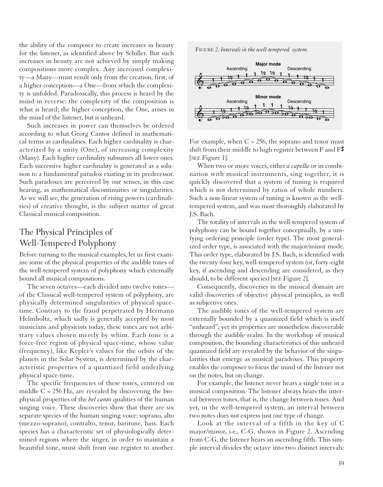the ability of the composer to create increases in beauty for the listener, as identified above by Schiller. But such increases in beauty are not achieved by simply making compositions more complex. Any increased complexity—a Many—must result only from the creation, first, of a higher conception—a One—from which the complexity is unfolded. Paradoxically, this process is heard by the mind in reverse: the complexity of the composition is what is heard; the higher conception, the One, arises in the mind of the listener, but is unheard.

Such increases in power can themselves be ordered according to what Georg Cantor defined in mathematical terms as cardinalities. Each higher cardinality is characterized by a unity (One), of increasing complexity (Many). Each higher cardinality subsumes all lower ones. Each successive higher cardinality is generated as a solution to a fundamental paradox existing in its predecessor. Such paradoxes are perceived by our senses, in this case hearing, as mathematical discontinuities or singularities. As we will see, the generation of rising powers (cardinalities) of creative thought, is the subject matter of great Classical musical composition.

## The Physical Principles of Well-Tempered Polyphony

Before turning to the musical examples, let us first examine some of the physical properties of the audible tones of the well-tempered system of polyphony which externally bound all musical compositions.

The seven octaves—each divided into twelve tones of the Classical well-tempered system of polyphony, are physically determined singularities of physical spacetime. Contrary to the fraud perpetrated by Hermann Helmholtz, which sadly is generally accepted by most musicians and physicists today, these tones are not arbitrary values chosen merely by whim. Each tone is a force-free region of physical space-time, whose value (frequency), like Kepler's values for the orbits of the planets in the Solar System, is determined by the characteristic properties of a quantized field underlying physical space-time.

The specific frequencies of these tones, centered on middle  $C = 256$  Hz, are revealed by discovering the biophysical properties of the *bel canto* qualities of the human singing voice. These discoveries show that there are six separate species of the human singing voice: soprano, alto (mezzo-soprano), contralto, tenor, baritone, bass. Each species has a characteristic set of physiologically determined regions where the singer, in order to maintain a beautiful tone, must shift from one register to another.

FIGURE 2. *Intervals in the well-tempered system.*



For example, when  $C = 256$ , the soprano and tenor must shift from their middle to high register between F and  $F\sharp$ [SEE Figure 1].

When two or more voices, either *a capella* or in combination with musical instruments, sing together, it is quickly discovered that a system of tuning is required which is not determined by ratios of whole numbers. Such a non-linear system of tuning is known as the welltempered system, and was most thoroughly elaborated by J.S. Bach.

The totality of intervals in the well-tempered system of polyphony can be bound together conceptually, by a unifying ordering principle (order type). The most generalized order type, is associated with the major/minor mode. This order type, elaborated by J.S. Bach, is identified with the twenty-four key, well-tempered system (or, forty-eight key, if ascending and descending are considered, as they should, to be different species) [SEE Figure 2].

Consequently, discoveries in the musical domain are valid discoveries of objective physical principles, as well as subjective ones.

The audible tones of the well-tempered system are externally bounded by a quantized field which is itself "unheard"; yet its properties are nonetheless discoverable through the audible realm. In the workshop of musical composition, the bounding characteristics of this unheard quantized field are revealed by the behavior of the singularities that emerge as musical paradoxes. This property enables the composer to focus the mind of the listener not on the notes, but on change.

For example, the listener never hears a single tone in a musical composition. The listener always hears the interval between tones, that is, the change between tones. And yet, in the well-tempered system, an interval between two notes does not express just one type of change.

Look at the interval of a fifth in the key of C major/minor, i.e., C-G, shown in Figure 2. Ascending from C-G, the listener hears an ascending fifth. This simple interval divides the octave into two distinct intervals: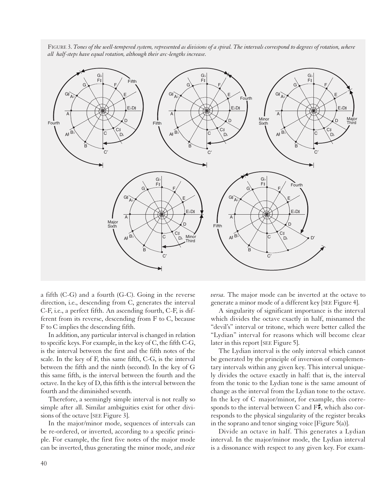

FIGURE 3. *Tones of the well-tempered system, represented as divisions of a spiral. The intervals correspond to degrees of rotation, where all half-steps have equal rotation, although their arc-lengths increase.*

a fifth (C-G) and a fourth (G-C). Going in the reverse direction, i.e., descending from C, generates the interval<br>C-F, i.e., a perfect fifth. An ascending fourth, C-F, is dif-C-F, i.e., a perfect fifth. An ascending fourth, C-F, is different from its reverse, descending from F to C, because F to C implies the descending fifth.

In addition, any particular interval is changed in relation to specific keys. For example, in the key of C, the fifth C-G, is the interval between the first and the fifth notes of the scale. In the key of F, this same fifth, C-G, is the interval between the fifth and the ninth (second). In the key of G this same fifth, is the interval between the fourth and the octave. In the key of D, this fifth is the interval between the fourth and the diminished seventh.

Therefore, a seemingly simple interval is not really so simple after all. Similar ambiguities exist for other divisions of the octave [SEE Figure 3].

In the major/minor mode, sequences of intervals can be re-ordered, or inverted, according to a specific principle. For example, the first five notes of the major mode can be inverted, thus generating the minor mode, and *vice* *versa.* The major mode can be inverted at the octave to generate a minor mode of a different key [SEE Figure 4].

A singularity of significant importance is the interval which divides the octave exactly in half, misnamed the "devil's" interval or tritone, which were better called the "Lydian" interval for reasons which will become clear later in this report [SEE Figure 5].

The Lydian interval is the only interval which cannot be generated by the principle of inversion of complementary intervals within any given key. This interval uniquely divides the octave exactly in half: that is, the interval from the tonic to the Lydian tone is the same amount of change as the interval from the Lydian tone to the octave. In the key of C major/minor, for example, this corresponds to the interval between C and  $F\ddot{\uparrow}$ , which also corresponds to the physical singularity of the register breaks in the soprano and tenor singing voice [Figure 5(a)].

Divide an octave in half. This generates a Lydian interval. In the major/minor mode, the Lydian interval is a dissonance with respect to any given key. For exam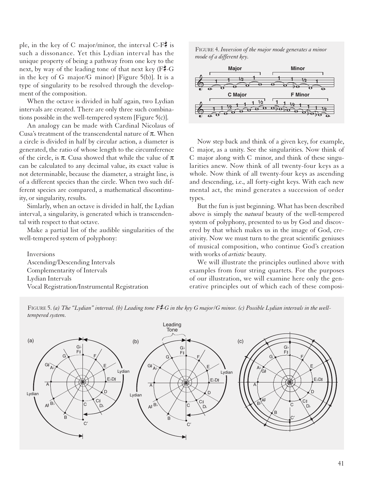ple, in the key of C major/minor, the interval C-F $\sharp$  is such a dissonance. Yet this Lydian interval has the unique property of being a pathway from one key to the next, by way of the leading tone of that next key  $(F \sharp -G)$ in the key of G major/G minor) [Figure 5(b)]. It is a type of singularity to be resolved through the development of the composition.

When the octave is divided in half again, two Lydian intervals are created. There are only three such combinations possible in the well-tempered system [Figure 5(c)].

An analogy can be made with Cardinal Nicolaus of Cusa's treatment of the transcendental nature of  $\pi$ . When a circle is divided in half by circular action, a diameter is generated, the ratio of whose length to the circumference of the circle, is  $\pi$ . Cusa showed that while the value of  $\pi$ can be calculated to any decimal value, its exact value is not determinable, because the diameter, a straight line, is of a different species than the circle. When two such different species are compared, a mathematical discontinuity, or singularity, results.

Simlarly, when an octave is divided in half, the Lydian interval, a singularity, is generated which is transcendental with respect to that octave.

Make a partial list of the audible singularities of the well-tempered system of polyphony:

Inversions Ascending/Descending Intervals Complementarity of Intervals Lydian Intervals Vocal Registration/Instrumental Registration

FIGURE 4. *Inversion of the major mode generates a minor mode of a different key.*



Now step back and think of a given key, for example, C major, as a unity. See the singularities. Now think of C major along with C minor, and think of these singularities anew. Now think of all twenty-four keys as a whole. Now think of all twenty-four keys as ascending and descending, i.e., all forty-eight keys. With each new mental act, the mind generates a succession of order types.

But the fun is just beginning. What has been described above is simply the *natural* beauty of the well-tempered system of polyphony, presented to us by God and discovered by that which makes us in the image of God, creativity. Now we must turn to the great scientific geniuses of musical composition, who continue God's creation with works of *artistic* beauty.

We will illustrate the principles outlined above with examples from four string quartets. For the purposes of our illustration, we will examine here only the generative principles out of which each of these composi-



FIGURE 5. (a) The "Lydian" interval. (b) Leading tone F#-G in the key G major/G minor. (c) Possible Lydian intervals in the well*tempered system.*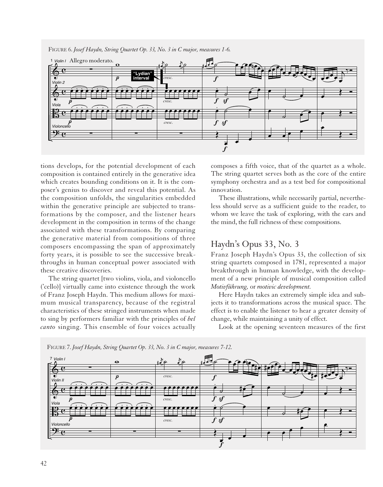

FIGURE 6. *Josef Haydn, String Quartet Op. 33, No. 3 in C major, measures 1-6.*

tions develops, for the potential development of each composition is contained entirely in the generative idea which creates bounding conditions on it. It is the composer's genius to discover and reveal this potential. As the composition unfolds, the singularities embedded within the generative principle are subjected to transformations by the composer, and the listener hears development in the composition in terms of the change associated with these transformations. By comparing the generative material from compositions of three composers encompassing the span of approximately forty years, it is possible to see the successive breakthroughs in human conceptual power associated with these creative discoveries.

The string quartet [two violins, viola, and violoncello ('cello)] virtually came into existence through the work of Franz Joseph Haydn. This medium allows for maximum musical transparency, because of the registral characteristics of these stringed instruments when made to sing by performers familiar with the principles of *bel canto* singing. This ensemble of four voices actually composes a fifth voice, that of the quartet as a whole. The string quartet serves both as the core of the entire symphony orchestra and as a test bed for compositional innovation.

These illustrations, while necessarily partial, nevertheless should serve as a sufficient guide to the reader, to whom we leave the task of exploring, with the ears and the mind, the full richness of these compositions.

## Haydn's Opus 33, No. 3

Franz Joseph Haydn's Opus 33, the collection of six string quartets composed in 1781, represented a major breakthrough in human knowledge, with the development of a new principle of musical composition called *Motivführung,* or *motivic development.*

Here Haydn takes an extremely simple idea and subjects it to transformations across the musical space. The effect is to enable the listener to hear a greater density of change, while maintaining a unity of effect.

Look at the opening seventeen measures of the first



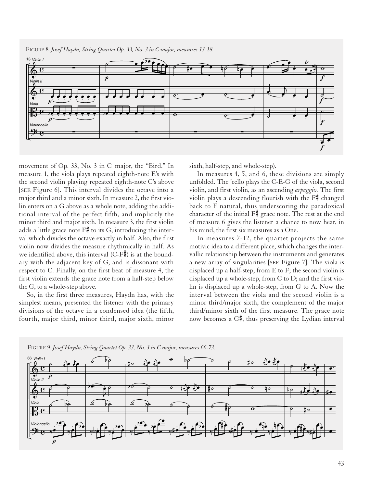

movement of Op. 33, No. 3 in C major, the "Bird." In measure 1, the viola plays repeated eighth-note E's with the second violin playing repeated eighth-note C's above [SEE Figure 6]. This interval divides the octave into a major third and a minor sixth. In measure 2, the first violin enters on a G above as a whole note, adding the additional interval of the perfect fifth, and implicitly the minor third and major sixth. In measure 3, the first violin adds a little grace note  $F^{\sharp}$  to its G, introducing the interval which divides the octave exactly in half. Also, the first violin now divides the measure rhythmically in half. As we identified above, this interval  $(C-F)$  is at the boundary with the adjacent key of G, and is dissonant with respect to C. Finally, on the first beat of measure 4, the first violin extends the grace note from a half-step below the G, to a whole-step above.

So, in the first three measures, Haydn has, with the simplest means, presented the listener with the primary divisions of the octave in a condensed idea (the fifth, fourth, major third, minor third, major sixth, minor sixth, half-step, and whole-step).

In measures 4, 5, and 6, these divisions are simply unfolded. The 'cello plays the C-E-G of the viola, second violin, and first violin, as an ascending *arpeggio.* The first violin plays a descending flourish with the  $F\ddot{f}$  changed back to F natural, thus underscoring the paradoxical character of the initial  $F\ddot{\bar{*}}$  grace note. The rest at the end of measure 6 gives the listener a chance to now hear, in his mind, the first six measures as a One.

In measures 7-12, the quartet projects the same motivic idea to a different place, which changes the intervallic relationship between the instruments and generates a new array of singularities [SEE Figure 7]. The viola is displaced up a half-step, from E to F; the second violin is displaced up a whole-step, from C to D; and the first violin is displaced up a whole-step, from G to A. Now the interval between the viola and the second violin is a minor third/major sixth, the complement of the major third/minor sixth of the first measure. The grace note now becomes a  $G_{\mathbf{z}}^{\sharp}$ , thus preserving the Lydian interval



FIGURE 9. *Josef Haydn, String Quartet Op. 33, No. 3 in C major, measures 66-73.*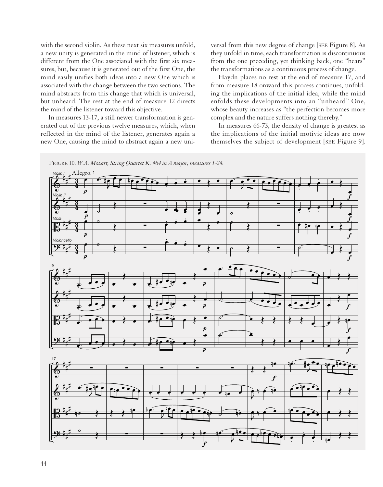with the second violin. As these next six measures unfold, a new unity is generated in the mind of listener, which is different from the One associated with the first six measures, but, because it is generated out of the first One, the mind easily unifies both ideas into a new One which is associated with the change between the two sections. The mind abstracts from this change that which is universal, but unheard. The rest at the end of measure 12 directs the mind of the listener toward this objective.

In measures 13-17, a still newer transformation is generated out of the previous twelve measures, which, when reflected in the mind of the listener, generates again a new One, causing the mind to abstract again a new universal from this new degree of change [SEE Figure 8]. As they unfold in time, each transformation is discontinuous from the one preceding, yet thinking back, one "hears" the transformations as a continuous process of change.

Haydn places no rest at the end of measure 17, and from measure 18 onward this process continues, unfolding the implications of the initial idea, while the mind enfolds these developments into an "unheard" One, whose beauty increases as "the perfection becomes more complex and the nature suffers nothing thereby."

In measures 66-73, the density of change is greatest as the implications of the initial motivic ideas are now themselves the subject of development [SEE Figure 9].



 $\overline{f}$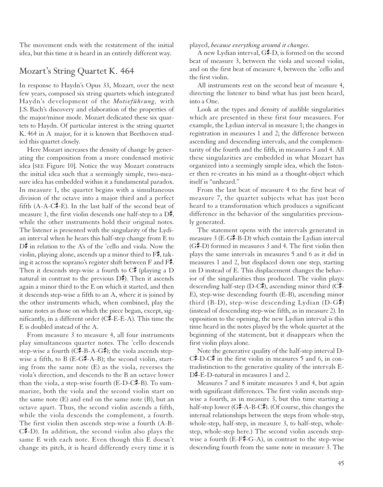The movement ends with the restatement of the initial idea, but this time it is heard in an entirely different way.

#### Mozart's String Quartet K. 464

In response to Haydn's Opus 33, Mozart, over the next few years, composed six string quartets which integrated Haydn's development of the *Motivführung,* with J.S. Bach's discovery and elaboration of the properties of the major/minor mode. Mozart dedicated these six quartets to Haydn. Of particular interest is the string quartet K. 464 in A major, for it is known that Beethoven studied this quartet closely.

Here Mozart increases the density of change by generating the composition from a more condensed motivic idea [SEE Figure 10]. Notice the way Mozart constructs the initial idea such that a seemingly simple, two-measure idea has embedded within it a fundamental paradox. In measure 1, the quartet begins with a simultaneous division of the octave into a major third and a perfect fifth  $(A-A-C\overline{F}-E)$ . In the last half of the second beat of measure 1, the first violin descends one half-step to a  $D^{\sharp}$ , while the other instruments hold their original notes. The listener is presented with the singularity of the Lydian interval when he hears this half-step change from E to  $D_{\tau}^{\sharp}$  in relation to the A's of the 'cello and viola. Now the violin, playing alone, ascends up a minor third to  $F\ddagger$ , taking it across the soprano's register shift between F and  $F\ddot{\bar{*}}$ . Then it descends step-wise a fourth to  $C_{\tau}^{\sharp}$  (playing a D natural in contrast to the previous  $D_{\mathbf{z}}^{\bullet}$ . Then it ascends again a minor third to the E on which it started, and then it descends step-wise a fifth to an A, where it is joined by the other instruments which, when combined, play the same notes as those on which the piece began, except, significantly, in a different order  $(C\sharp$ -E-E-A). This time the E is doubled instead of the A.

From measure 3 to measure 4, all four instruments play simultaneous quarter notes. The 'cello descends step-wise a fourth ( $C\#$ -B-A-G $\sharp$ ); the viola ascends stepwise a fifth, to B (E-G#-A-B); the second violin, starting from the same note (E) as the viola, reverses the viola's direction, and descends to the B an octave lower than the viola, a step-wise fourth ( $E$ -D- $C\ddot{\bar{*}}$ -B). To summarize, both the viola and the second violin start on the same note (E) and end on the same note (B), but an octave apart. Thus, the second violin ascends a fifth, while the viola descends the complement, a fourth. The first violin then ascends step-wise a fourth (A-B- $C\sharp$ -D). In addition, the second violin also plays the same E with each note. Even though this E doesn't change its pitch, it is heard differently every time it is played, *because everything around it changes.*

A new Lydian interval,  $G - D$ , is formed on the second beat of measure 3, between the viola and second violin, and on the first beat of measure 4, between the 'cello and the first violin.

All instruments rest on the second beat of measure 4, directing the listener to bind what has just been heard, into a One.

Look at the types and density of audible singularities which are presented in these first four measures. For example, the Lydian interval in measure 1; the changes in registration in measures 1 and 2; the difference between ascending and descending intervals, and the complementarity of the fourth and the fifth, in measures 3 and 4. All these singularities are embedded in what Mozart has organized into a seemingly simple idea, which the listener then re-creates in his mind as a thought-object which itself is "unheard."

From the last beat of measure 4 to the first beat of measure 7, the quartet subjects what has just been heard to a transformation which produces a significant difference in the behavior of the singularities previously generated.

The statement opens with the intervals generated in measure  $3$  (E-G<sup> $\sharp$ </sup>-B-D) which contain the Lydian interval  $(G\sharp$ -D) formed in measures 3 and 4. The first violin then plays the same intervals in measures 5 and 6 as it did in measures 1 and 2, but displaced down one step, starting on D instead of E. This displacement changes the behavior of the singularities thus produced. The violin plays: descending half-step (D-C#), ascending minor third (C#-E), step-wise descending fourth (E-B), ascending minor third (B-D), step-wise descending Lydian  $(D-G*)$ (instead of descending step-wise fifth, as in measure 2). In opposition to the opening, the new Lydian interval is this time heard in the notes played by the whole quartet at the beginning of the statement, but it disappears when the first violin plays alone.

Note the generative quality of the half-step interval D- $C\sharp$ -D-C $\sharp$  in the first violin in measures 5 and 6, in contradistinction to the generative quality of the intervals E- $D\ddagger$ -E-D-natural in measures 1 and 2.

Measures 7 and 8 imitate measures 3 and 4, but again with significant differences. The first violin ascends stepwise a fourth, as in measure 3, but this time starting a half-step lower (G#-A-B-C#). (Of course, this changes the internal relationships between the steps from whole-step, whole-step, half-step, in measure 3, to half-step, wholestep, whole-step here.) The second violin ascends stepwise a fourth (E-F#-G-A), in contrast to the step-wise descending fourth from the same note in measure 3. The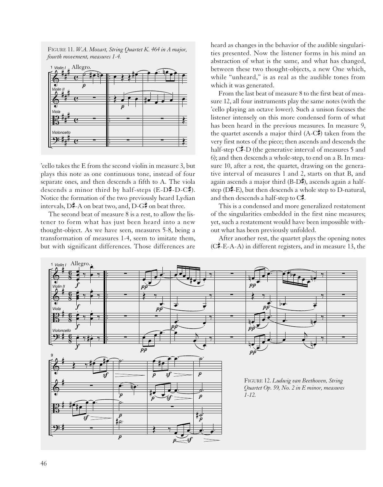FIGURE 11. *W.A. Mozart, String Quartet K. 464 in A major, fourth movement, measures 1-4.*



'cello takes the E from the second violin in measure 3, but plays this note as one continuous tone, instead of four separate ones, and then descends a fifth to A. The viola descends a minor third by half-steps  $(E-D\#D-C\#)$ . Notice the formation of the two previously heard Lydian intervals,  $D\ddagger-A$  on beat two, and,  $D-G\ddagger$  on beat three.

The second beat of measure 8 is a rest, to allow the listener to form what has just been heard into a new thought-object. As we have seen, measures 5-8, being a transformation of measures 1-4, seem to imitate them, but with significant differences. Those differences are

heard as changes in the behavior of the audible singularities presented. Now the listener forms in his mind an abstraction of what is the same, and what has changed, between these two thought-objects, a new One which, while "unheard," is as real as the audible tones from which it was generated.

From the last beat of measure 8 to the first beat of measure 12, all four instruments play the same notes (with the 'cello playing an octave lower). Such a unison focuses the listener intensely on this more condensed form of what has been heard in the previous measures. In measure 9, the quartet ascends a major third  $(A-C\bar{F})$  taken from the very first notes of the piece; then ascends and descends the half-step  $C\sharp$ -D (the generative interval of measures 5 and 6); and then descends a whole-step, to end on a B. In measure 10, after a rest, the quartet, drawing on the generative interval of measures 1 and 2, starts on that B, and again ascends a major third  $(B-D\bar{A})$ , ascends again a halfstep ( $D\overline{4}$ -E), but then descends a whole step to D-natural, and then descends a half-step to  $C<sub>1</sub>$ .

This is a condensed and more generalized restatement of the singularities embedded in the first nine measures; yet, such a restatement would have been impossible without what has been previously unfolded.

After another rest, the quartet plays the opening notes  $(C\overline{F}-E-A-A)$  in different registers, and in measure 13, the

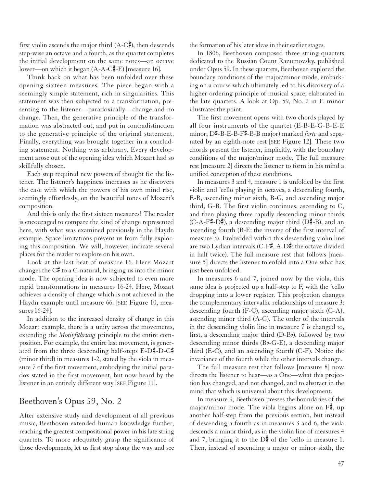first violin ascends the major third  $(A-C\ddagger)$ , then descends step-wise an octave and a fourth, as the quartet completes the initial development on the same notes—an octave lower—on which it began  $(A-A-C\overline{F}-E)$  [measure 16].

Think back on what has been unfolded over these opening sixteen measures. The piece began with a seemingly simple statement, rich in singularities. This statement was then subjected to a transformation, presenting to the listener—paradoxically—change and no change. Then, the generative principle of the transformation was abstracted out, and put in contradistinction to the generative principle of the original statement. Finally, everything was brought together in a concluding statement. Nothing was arbitrary. Every development arose out of the opening idea which Mozart had so skillfully chosen.

Each step required new powers of thought for the listener. The listener's happiness increases as he discovers the ease with which the powers of his own mind rise, seemingly effortlessly, on the beautiful tones of Mozart's composition.

And this is only the first sixteen measures! The reader is encouraged to compare the kind of change represented here, with what was examined previously in the Haydn example. Space limitations prevent us from fully exploring this composition. We will, however, indicate several places for the reader to explore on his own.

Look at the last beat of measure 16. Here Mozart changes the  $C_{\tau}^{\sharp}$  to a C-natural, bringing us into the minor mode. The opening idea is now subjected to even more rapid transformations in measures 16-24. Here, Mozart achieves a density of change which is not achieved in the Haydn example until measure 66. [SEE Figure 10, measures 16-24].

In addition to the increased density of change in this Mozart example, there is a unity across the movements, extending the *Motivführung* principle to the entire composition. For example, the entire last movement, is generated from the three descending half-steps  $E-D\ddot{+}D-C\ddot{+}$ (minor third) in measures 1-2, stated by the viola in measure 7 of the first movement, embodying the initial paradox stated in the first movement, but now heard by the listener in an entirely different way [SEE Figure 11].

#### Beethoven's Opus 59, No. 2

After extensive study and development of all previous music, Beethoven extended human knowledge further, reaching the greatest compositional power in his late string quartets. To more adequately grasp the significance of those developments, let us first stop along the way and see the formation of his later ideas in their earlier stages.

In 1806, Beethoven composed three string quartets dedicated to the Russian Count Razumovsky, published under Opus 59. In these quartets, Beethoven explored the boundary conditions of the major/minor mode, embarking on a course which ultimately led to his discovery of a higher ordering principle of musical space, elaborated in the late quartets. A look at Op. 59, No. 2 in E minor illustrates the point.

The first movement opens with two chords played by all four instruments of the quartet (E-B-E-G-B-E-E minor; D<sup>#</sup>-B-E-B-F<sup>#</sup>-B-B major) marked *forte* and separated by an eighth-note rest [SEE Figure 12]. These two chords present the listener, implicitly, with the boundary conditions of the major/minor mode. The full measure rest [measure 2] directs the listener to form in his mind a unified conception of these conditions.

In measures 3 and 4, measure 1 is unfolded by the first violin and 'cello playing in octaves, a descending fourth, E-B, ascending minor sixth, B-G, and ascending major third, G-B. The first violin continues, ascending to C, and then playing three rapidly descending minor thirds  $(C-A-F\overline{F}-D\overline{F})$ , a descending major third  $(D\overline{F}-B)$ , and an ascending fourth (B-E: the inverse of the first interval of measure 3). Embedded within this descending violin line are two Lydian intervals (C-F#, A-D#: the octave divided in half twice). The full measure rest that follows [measure 5] directs the listener to enfold into a One what has just been unfolded.

In measures 6 and 7, joined now by the viola, this same idea is projected up a half-step to F, with the 'cello dropping into a lower register. This projection changes the complementary intervallic relationships of measure 3: descending fourth (F-C), ascending major sixth (C-A), ascending minor third (A-C). The order of the intervals in the descending violin line in measure 7 is changed to, first, a descending major third  $(D-Bb)$ , followed by two descending minor thirds  $(Bb$ -G-E), a descending major third (E-C), and an ascending fourth (C-F). Notice the invariance of the fourth while the other intervals change.

The full measure rest that follows [measure 8] now directs the listener to hear—as a One—what this projection has changed, and not changed, and to abstract in the mind that which is universal about this development.

In measure 9, Beethoven presses the boundaries of the major/minor mode. The viola begins alone on  $F\ddot{\uparrow}$ , up another half-step from the previous section, but instead of descending a fourth as in measures 3 and 6, the viola descends a minor third, as in the violin line of measures 4 and 7, bringing it to the  $D\ddagger$  of the 'cello in measure 1. Then, instead of ascending a major or minor sixth, the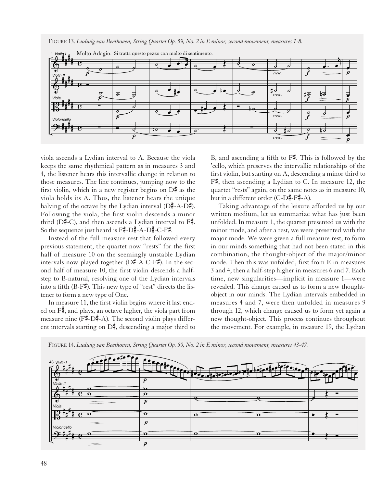FIGURE 13. *Ludwig van Beethoven, String Quartet Op. 59, No. 2 in E minor, second movement, measures 1-8.*



viola ascends a Lydian interval to A. Because the viola keeps the same rhythmical pattern as in measures 3 and 4, the listener hears this intervallic change in relation to those measures. The line continues, jumping now to the first violin, which in a new register begins on  $\mathcal{D}^{\sharp}$  as the viola holds its A. Thus, the listener hears the unique halving of the octave by the Lydian interval  $(D\bar{A} - A - D\bar{A})$ . Following the viola, the first violin descends a minor third ( $D\overline{*}$ -C), and then ascends a Lydian interval to  $F\overline{*}$ . So the sequence just heard is  $F# - D# - A - D# - C - F#$ .

Instead of the full measure rest that followed every previous statement, the quartet now "rests" for the first half of measure 10 on the seemingly unstable Lydian intervals now played together  $(D\overline{A}-A-C-F\overline{A})$ . In the second half of measure 10, the first violin descends a halfstep to B-natural, resolving one of the Lydian intervals into a fifth (B-F#). This new type of "rest" directs the listener to form a new type of One.

In measure 11, the first violin begins where it last ended on  $F\ddot{\uparrow}$ , and plays, an octave higher, the viola part from measure nine ( $F\uparrow -D\uparrow -A$ ). The second violin plays different intervals starting on  $D\bar{\sharp}$ , descending a major third to B, and ascending a fifth to  $F\sharp$ . This is followed by the 'cello, which preserves the intervallic relationships of the first violin, but starting on A, descending a minor third to  $F_{\tau}^{\sharp}$ , then ascending a Lydian to C. In measure 12, the quartet "rests" again, on the same notes as in measure 10, but in a different order  $(C-D\overline{F}+\overline{F}+A)$ .

Taking advantage of the leisure afforded us by our written medium, let us summarize what has just been unfolded. In measure 1, the quartet presented us with the minor mode, and after a rest, we were presented with the major mode. We were given a full measure rest, to form in our minds something that had not been stated in this combination, the thought-object of the major/minor mode. Then this was unfolded, first from E in measures 3 and 4, then a half-step higher in measures 6 and 7. Each time, new singularities—implicit in measure 1—were revealed. This change caused us to form a new thoughtobject in our minds. The Lydian intervals embedded in measures 4 and 7, were then unfolded in measures 9 through 12, which change caused us to form yet again a new thought-object. This process continues throughout the movement. For example, in measure 19, the Lydian



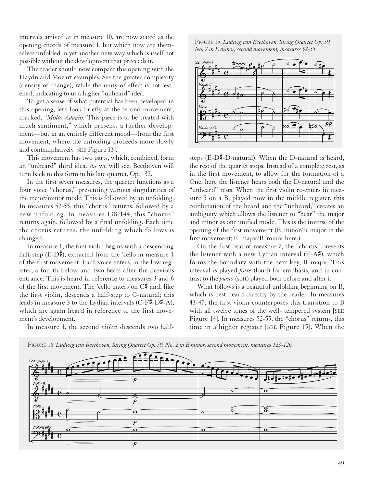intervals arrived at in measure 10, are now stated as the opening chords of measure 1, but which now are themselves unfolded in yet another new way which is itself not possible without the development that preceeds it.

The reader should now compare this opening with the Haydn and Mozart examples. See the greater complexity (density of change), while the unity of effect is not lessened, indicating to us a higher "unheard" idea.

To get a sense of what potential has been developed in this opening, let's look briefly at the second movement, marked, "*Molto Adagio.* This piece is to be treated with much sentiment," which presents a further development—but in an entirely different mood—from the first movement, where the unfolding proceeds more slowly and contemplatively [SEE Figure 13].

This movement has two parts, which, combined, form an "unheard" third idea. As we will see, Beethoven will turn back to this form in his late quartet, Op. 132.

In the first seven measures, the quartet functions as a four voice "chorus," presenting various singularities of the major/minor mode. This is followed by an unfolding. In measures 52-55, this "chorus" returns, followed by a new unfolding. In measures 138-144, this "chorus" returns again, followed by a final unfolding. Each time the chorus returns, the unfolding which follows is changed.

In measure 1, the first violin begins with a descending half-step (E-D#), extracted from the 'cello in measure 1 of the first movement. Each voice enters, in the low register, a fourth below and two beats after the previous entrance. This is heard in reference to measures 3 and 6 of the first movement. The 'cello enters on  $C_{\mathbb{F}}^{\sharp}$  and, like the first violin, descends a half-step to C-natural; this leads in measure 3 to the Lydian intervals (C-F#-D#-A), which are again heard in reference to the first movement's development.

In measure 4, the second violin descends two half-

FIGURE 15. *Ludwig van Beethoven, String Quartet Op. 59, No. 2 in E minor, second movement, measures 52-55.*



steps (E-D $\sharp$ -D-natural). When the D-natural is heard, the rest of the quartet stops. Instead of a complete rest, as in the first movement, to allow for the formation of a One, here the listener hears both the D-natural and the "unheard" rests. When the first violin re-enters in measure 5 on a B, played now in the middle register, this combination of the heard and the "unheard," creates an ambiguity which allows the listener to "hear" the major and minor as one unified mode. This is the inverse of the opening of the first movement (E minor/B major in the first movement; E major/B minor here.)

On the first beat of measure 7, the "chorus" presents the listener with a new Lydian interval  $(E-A^{\#})$ , which forms the boundary with the next key, B major. This interval is played *forte* (loud) for emphasis, and in contrast to the *piano* (soft) played both before and after it.

What follows is a beautiful unfolding beginning on B, which is best heard directly by the reader. In measures 43-47, the first violin counterposes this transition to B with all twelve tones of the well- tempered system [SEE Figure 14]. In measures 52-55, the "chorus" returns, this time in a higher register [SEE Figure 15]. When the



FIGURE 16. *Ludwig van Beethoven, String Quartet Op. 59, No. 2 in E minor, second movement, measures 123-126.*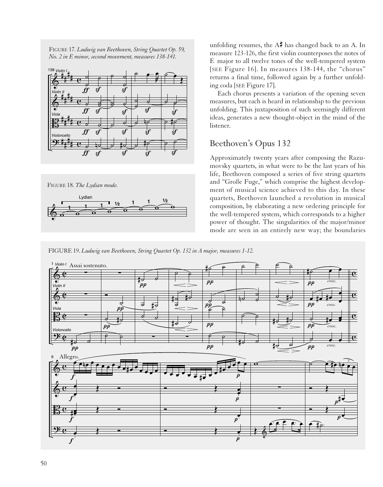FIGURE 17. *Ludwig van Beethoven, String Quartet Op. 59, No. 2 in E minor, second movement, measures 138-141.*



FIGURE 18. *The Lydian mode.*



unfolding resumes, the  $A\ddot{\uparrow}$  has changed back to an A. In measure 123-126, the first violin counterposes the notes of E major to all twelve tones of the well-tempered system [SEE Figure 16]. In measures 138-144, the "chorus" returns a final time, followed again by a further unfolding coda [SEE Figure 17].

Each chorus presents a variation of the opening seven measures, but each is heard in relationship to the previous unfolding. This juxtaposition of such seemingly different ideas, generates a new thought-object in the mind of the listener.

#### Beethoven's Opus 132

Approximately twenty years after composing the Razumovsky quartets, in what were to be the last years of his life, Beethoven composed a series of five string quartets and "Große Fuge," which comprise the highest development of musical science achieved to this day. In these quartets, Beethoven launched a revolution in musical composition, by elaborating a new ordering principle for the well-tempered system, which corresponds to a higher power of thought. The singularities of the major/minor mode are seen in an entirely new way; the boundaries



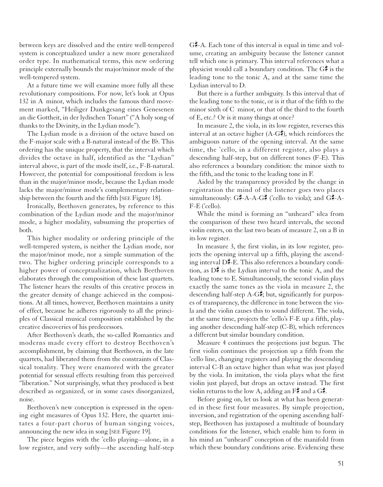between keys are dissolved and the entire well-tempered system is conceptualized under a new more generalized order type. In mathematical terms, this new ordering principle externally bounds the major/minor mode of the well-tempered system.

At a future time we will examine more fully all these revolutionary compositions. For now, let's look at Opus 132 in A minor, which includes the famous third movement marked, "Heiliger Dankgesang eines Genesenen an die Gottheit, in der lydischen Tonart" ("A holy song of thanks to the Divinity, in the Lydian mode").

The Lydian mode is a division of the octave based on the F-major scale with a B-natural instead of the  $B<sub>b</sub>$ . This ordering has the unique property, that the interval which divides the octave in half, identified as the "Lydian" interval above, is part of the mode itself, i.e., F-B-natural. However, the potential for compositional freedom is less than in the major/minor mode, because the Lydian mode lacks the major/minor mode's complementary relationship between the fourth and the fifth [SEE Figure 18].

Ironically, Beethoven generates, by reference to this combination of the Lydian mode and the major/minor mode, a higher modality, subsuming the properties of both.

This higher modality or ordering principle of the well-tempered system, is neither the Lydian mode, nor the major/minor mode, nor a simple summation of the two. The higher ordering principle corresponds to a higher power of conceptualization, which Beethoven elaborates through the composition of these last quartets. The listener hears the results of this creative process in the greater density of change achieved in the compositions. At all times, however, Beethoven maintains a unity of effect, because he adheres rigorously to all the principles of Classical musical composition established by the creative discoveries of his predecessors.

After Beethoven's death, the so-called Romantics and moderns made every effort to destroy Beethoven's accomplishment, by claiming that Beethoven, in the late quartets, had liberated them from the constraints of Classical tonality. They were enamored with the greater potential for sensual effects resulting from this perceived "liberation." Not surprisingly, what they produced is best described as organized, or in some cases disorganized, noise.

Beethoven's new conception is expressed in the opening eight measures of Opus 132. Here, the quartet imitates a four-part chorus of human singing voices, announcing the new idea in song [SEE Figure 19].

The piece begins with the 'cello playing—alone, in a low register, and very softly—the ascending half-step  $G$ . Each tone of this interval is equal in time and volume, creating an ambiguity because the listener cannot tell which one is primary. This interval references what a physicist would call a boundary condition. The  $G_{\mathbb{F}}^{\sharp}$  is the leading tone to the tonic A, and at the same time the Lydian interval to D.

But there is a further ambiguity. Is this interval that of the leading tone to the tonic, or is it that of the fifth to the minor sixth of C minor, or that of the third to the fourth of E, etc.? Or is it many things at once?

In measure 2, the viola, in its low register, reverses this interval at an octave higher (A-G#), which reinforces the ambiguous nature of the opening interval. At the same time, the 'cello, in a different register, also plays a descending half-step, but on different tones (F-E). This also references a boundary condition: the minor sixth to the fifth, and the tonic to the leading tone in F.

Aided by the transparency provided by the change in registration the mind of the listener goes two places simultaneously:  $G\sharp$ -A-A- $G\sharp$  ('cello to viola); and  $G\sharp$ -A-F-E ('cello).

While the mind is forming an "unheard" idea from the comparison of these two heard intervals, the second violin enters, on the last two beats of measure 2, on a B in its low register.

In measure 3, the first violin, in its low register, projects the opening interval up a fifth, playing the ascending interval  $D\#$ -E. This also references a boundary condition, as  $D^*$  is the Lydian interval to the tonic A, and the leading tone to E. Simultaneously, the second violin plays exactly the same tones as the viola in measure 2, the descending half-step  $A-G\ddagger$ ; but, significantly for purposes of transparency, the difference in tone between the viola and the violin causes this to sound different. The viola, at the same time, projects the 'cello's F-E up a fifth, playing another descending half-step (C-B), which references a different but similar boundary condition.

Measure 4 continues the projections just begun. The first violin continues the projection up a fifth from the 'cello line, changing registers and playing the descending interval C-B an octave higher than what was just played by the viola. In imitation, the viola plays what the first violin just played, but drops an octave instead. The first violin returns to the low A, adding an  $F\ddagger$  and a  $G\ddagger$ .

Before going on, let us look at what has been generated in these first four measures. By simple projection, inversion, and registration of the opening ascending halfstep, Beethoven has juxtaposed a multitude of boundary conditions for the listener, which enable him to form in his mind an "unheard" conception of the manifold from which these boundary conditions arise. Evidencing these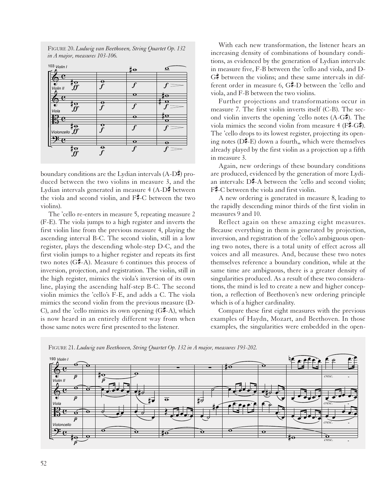FIGURE 20. *Ludwig van Beethoven, String Quartet Op. 132 in A major, measures 103-106.*

| 103 Violin I            |                         | $\parallel$ o    | $\Omega$ |
|-------------------------|-------------------------|------------------|----------|
| ಗಾ<br>ΙΟ                | ө                       |                  |          |
| ff<br>Violin II<br>ಣ    |                         | $\mathbf o$      |          |
| πο                      | Θ                       |                  |          |
| Viola<br>۰.             |                         | $\mathbf \Theta$ | ïΟ<br>σ  |
| $\overline{\mathbf{r}}$ | o                       | f                |          |
| ಗಾ                      | $\overline{\mathbf{e}}$ | $\mathbf o$      | е        |
| Ţσ                      |                         |                  |          |

boundary conditions are the Lydian intervals  $(A-D\bar{F})$  produced between the two violins in measure 3, and the Lydian intervals generated in measure  $4 (A-D)$  between the viola and second violin, and  $F\ddot{=}C$  between the two violins).

The 'cello re-enters in measure 5, repeating measure 2 (F-E). The viola jumps to a high register and inverts the first violin line from the previous measure 4, playing the ascending interval B-C. The second violin, still in a low register, plays the descending whole-step D-C, and the first violin jumps to a higher register and repeats its first two notes  $(G\sharp -A)$ . Measure 6 continues this process of inversion, projection, and registration. The violin, still in the high register, mimics the viola's inversion of its own line, playing the ascending half-step B-C. The second violin mimics the 'cello's F-E, and adds a C. The viola mimics the second violin from the previous measure (D-C), and the 'cello mimics its own opening  $(G#A)$ , which is now heard in an entirely different way from when those same notes were first presented to the listener.

With each new transformation, the listener hears an increasing density of combinations of boundary conditions, as evidenced by the generation of Lydian intervals: in measure five, F-B between the 'cello and viola, and D- $G_{\tau}^{\sharp}$  between the violins; and these same intervals in different order in measure 6,  $G\sharp$ -D between the 'cello and viola, and F-B between the two violins.

Further projections and transformations occur in measure 7. The first violin inverts itself (C-B). The second violin inverts the opening 'cello notes  $(A-G\sharp)$ . The viola mimics the second violin from measure 4 ( $F\$  $\vdash$   $G\$ ). The 'cello drops to its lowest register, projecting its opening notes ( $D\bar{F}$ -E) down a fourth,, which were themselves already played by the first violin as a projection up a fifth in measure 3.

Again, new orderings of these boundary conditions are produced, evidenced by the generation of more Lydian intervals:  $D\overline{P}$ -A between the 'cello and second violin;  $F - C$  between the viola and first violin.

A new ordering is generated in measure 8, leading to the rapidly descending minor thirds of the first violin in measures 9 and 10.

Reflect again on these amazing eight measures. Because everything in them is generated by projection, inversion, and registration of the 'cello's ambiguous opening two notes, there is a total unity of effect across all voices and all measures. And, because these two notes themselves reference a boundary condition, while at the same time are ambiguous, there is a greater density of singularities produced. As a result of these two considerations, the mind is led to create a new and higher conception, a reflection of Beethoven's new ordering principle which is of a higher cardinality.

Compare these first eight measures with the previous examples of Haydn, Mozart, and Beethoven. In those examples, the singularities were embedded in the open-



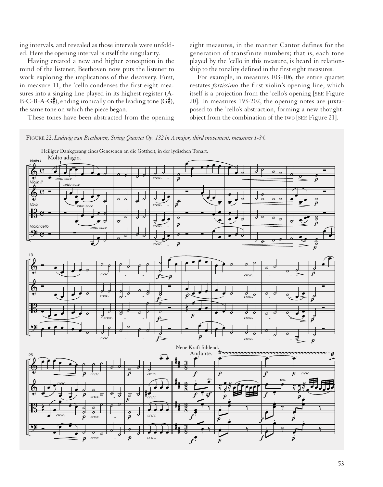ing intervals, and revealed as those intervals were unfolded. Here the opening interval is itself the singularity.

Having created a new and higher conception in the mind of the listener, Beethoven now puts the listener to work exploring the implications of this discovery. First, in measure 11, the 'cello condenses the first eight measures into a singing line played in its highest register (A-B-C-B-A-G<sup> $\sharp$ </sup>), ending ironically on the leading tone (G $\sharp$ ), the same tone on which the piece began.

eight measures, in the manner Cantor defines for the generation of transfinite numbers; that is, each tone played by the 'cello in this measure, is heard in relationship to the tonality defined in the first eight measures.

For example, in measures 103-106, the entire quartet restates *fortissimo* the first violin's opening line, which itself is a projection from the 'cello's opening [SEE Figure 20]. In measures 193-202, the opening notes are juxtaposed to the 'cello's abstraction, forming a new thoughtobject from the combination of the two [SEE Figure 21].

These tones have been abstracted from the opening



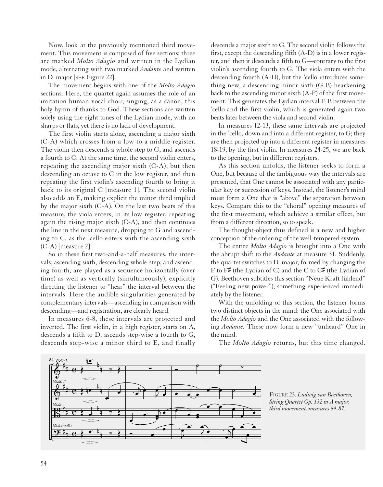Now, look at the previously mentioned third movement. This movement is composed of five sections: three are marked *Molto Adagio* and written in the Lydian mode, alternating with two marked *Andante* and written in D major [SEE Figure 22].

The movement begins with one of the *Molto Adagio* sections. Here, the quartet again assumes the role of an imitation human vocal choir, singing, as a canon, this holy hymn of thanks to God. These sections are written solely using the eight tones of the Lydian mode, with no sharps or flats, yet there is no lack of development.

The first violin starts alone, ascending a major sixth (C-A) which crosses from a low to a middle register. The violin then descends a whole step to G, and ascends a fourth to C. At the same time, the second violin enters, repeating the ascending major sixth (C-A), but then descending an octave to G in the low register, and then repeating the first violin's ascending fourth to bring it back to its original C [measure 1]. The second violin also adds an E, making explicit the minor third implied by the major sixth (C-A). On the last two beats of this measure, the viola enters, in its low register, repeating again the rising major sixth (C-A), and then continues the line in the next measure, dropping to G and ascending to C, as the 'cello enters with the ascending sixth (C-A) [measure 2].

So in these first two-and-a-half measures, the intervals, ascending sixth, descending whole-step, and ascending fourth, are played as a sequence horizontally (over time) as well as vertically (simultaneously), explicitly directing the listener to "hear" the interval between the intervals. Here the audible singularities generated by complementary intervals—ascending in comparison with descending—and registration, are clearly heard.

In measures 6-8, these intervals are projected and inverted. The first violin, in a high register, starts on A, descends a fifth to D, ascends step-wise a fourth to G, descends step-wise a minor third to E, and finally

descends a major sixth to G. The second violin follows the first, except the descending fifth (A-D) is in a lower register, and then it descends a fifth to G—contrary to the first violin's ascending fourth to G. The viola enters with the descending fourth (A-D), but the 'cello introduces something new, a descending minor sixth (G-B) hearkening back to the ascending minor sixth (A-F) of the first movement. This generates the Lydian interval F-B between the 'cello and the first violin, which is generated again two beats later between the viola and second violin.

In measures 12-13, these same intervals are projected in the 'cello, down and into a different register, to G; they are then projected up into a different register in measures 18-19, by the first violin. In measures 24-25, we are back to the opening, but in different registers.

As this section unfolds, the listener seeks to form a One, but because of the ambiguous way the intervals are presented, that One cannot be associated with any particular key or succession of keys. Instead, the listener's mind must form a One that is "above" the separation between keys. Compare this to the "choral" opening measures of the first movement, which achieve a similar effect, but from a different direction, so to speak.

The thought-object thus defined is a new and higher conception of the ordering of the well-tempered system.

The entire *Molto Adagio* is brought into a One with the abrupt shift to the *Andante* at measure 31. Suddenly, the quartet switches to D major, formed by changing the F to  $F^{\#}$  (the Lydian of C) and the C to  $C^{\#}$  (the Lydian of G). Beethoven subtitles this section "Neue Kraft fühlend" ("Feeling new power"), something experienced immediately by the listener.

With the unfolding of this section, the listener forms two distinct objects in the mind: the One associated with the *Molto Adagio* and the One associated with the following *Andante.* These now form a new "unheard" One in the mind.

The *Molto Adagio* returns, but this time changed.

FIGURE 23. *Ludwig van Beethoven, String Quartet Op. 132 in A major, third movement, measures 84-87.*

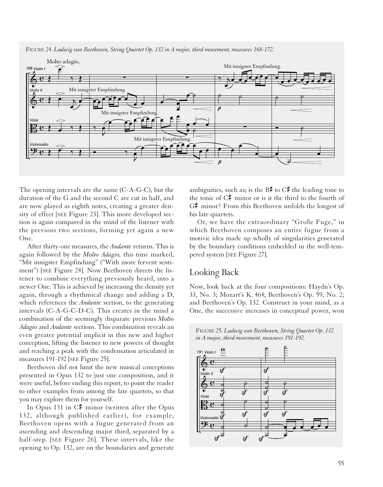

FIGURE 24. *Ludwig van Beethoven, String Quartet Op. 132 in A major, third movement, measures 168-172.*

The opening intervals are the same (C-A-G-C), but the duration of the G and the second C are cut in half, and are now played as eighth notes, creating a greater density of effect [SEE Figure 23]. This more developed section is again compared in the mind of the listener with the previous two sections, forming yet again a new One.

After thirty-one measures, the *Andante* returns. This is again followed by the *Molto Adagio,* this time marked, "Mit innigster Empfindung" ("With more fervent sentiment") [SEE Figure 24]. Now Beethoven directs the listener to combine everything previously heard, into a newer One. This is achieved by increasing the density yet again, through a rhythmical change and adding a D, which references the *Andante* section, to the generating intervals (C-A-G-C-D-C). This creates in the mind a combination of the seemingly disparate previous *Molto Adagio* and *Andante* sections. This combination reveals an even greater potential implicit in this new and higher conception, lifting the listener to new powers of thought and reaching a peak with the condensation articulated in measures 191-192 [SEE Figure 25].

Beethoven did not limit the new musical conceptions presented in Opus 132 to just one composition, and it were useful, before ending this report, to point the reader to other examples from among the late quartets, so that you may explore them for yourself.

In Opus 131 in  $C^*$  minor (written after the Opus 132, although published earlier), for example, Beethoven opens with a fugue generated from an ascending and descending major third, separated by a half-step. [SEE Figure 26]. These intervals, like the opening to Op. 132, are on the boundaries and generate ambiguities, such as; is the  $B\ddot{\uparrow}$  to  $C\ddot{\uparrow}$  the leading tone to the tonic of  $C_{\mathbb{Z}}^{\sharp}$  minor or is it the third to the fourth of  $G_{\tau}^{\sharp}$  minor? From this Beethoven unfolds the longest of his late quartets.

Or, we have the extraordinary "Große Fuge," in which Beethoven composes an entire fugue from a motivic idea made up wholly of singularities generated by the boundary conditions embedded in the well-tempered system [SEE Figure 27].

### Looking Back

Now, look back at the four compositions: Haydn's Op. 33, No. 3; Mozart's K. 464; Beethoven's Op. 59, No. 2; and Beethoven's Op. 132. Construct in your mind, as a One, the successive increases in conceptual power, won



FIGURE 25. *Ludwig van Beethoven, String Quartet Op. 132*